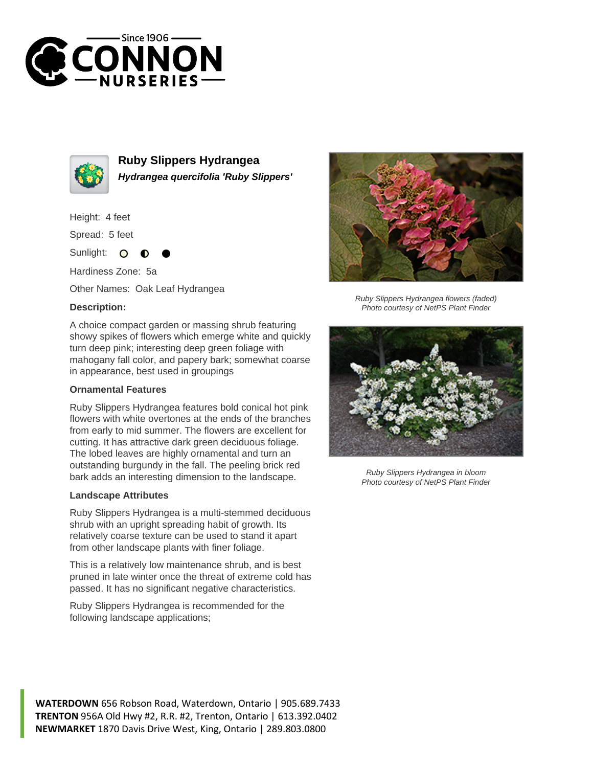



**Ruby Slippers Hydrangea Hydrangea quercifolia 'Ruby Slippers'**

Height: 4 feet

Spread: 5 feet

Sunlight:  $\bullet$ 

Hardiness Zone: 5a

Other Names: Oak Leaf Hydrangea

## **Description:**

A choice compact garden or massing shrub featuring showy spikes of flowers which emerge white and quickly turn deep pink; interesting deep green foliage with mahogany fall color, and papery bark; somewhat coarse in appearance, best used in groupings

## **Ornamental Features**

Ruby Slippers Hydrangea features bold conical hot pink flowers with white overtones at the ends of the branches from early to mid summer. The flowers are excellent for cutting. It has attractive dark green deciduous foliage. The lobed leaves are highly ornamental and turn an outstanding burgundy in the fall. The peeling brick red bark adds an interesting dimension to the landscape.

## **Landscape Attributes**

Ruby Slippers Hydrangea is a multi-stemmed deciduous shrub with an upright spreading habit of growth. Its relatively coarse texture can be used to stand it apart from other landscape plants with finer foliage.

This is a relatively low maintenance shrub, and is best pruned in late winter once the threat of extreme cold has passed. It has no significant negative characteristics.

Ruby Slippers Hydrangea is recommended for the following landscape applications;



Ruby Slippers Hydrangea flowers (faded) Photo courtesy of NetPS Plant Finder



Ruby Slippers Hydrangea in bloom Photo courtesy of NetPS Plant Finder

**WATERDOWN** 656 Robson Road, Waterdown, Ontario | 905.689.7433 **TRENTON** 956A Old Hwy #2, R.R. #2, Trenton, Ontario | 613.392.0402 **NEWMARKET** 1870 Davis Drive West, King, Ontario | 289.803.0800